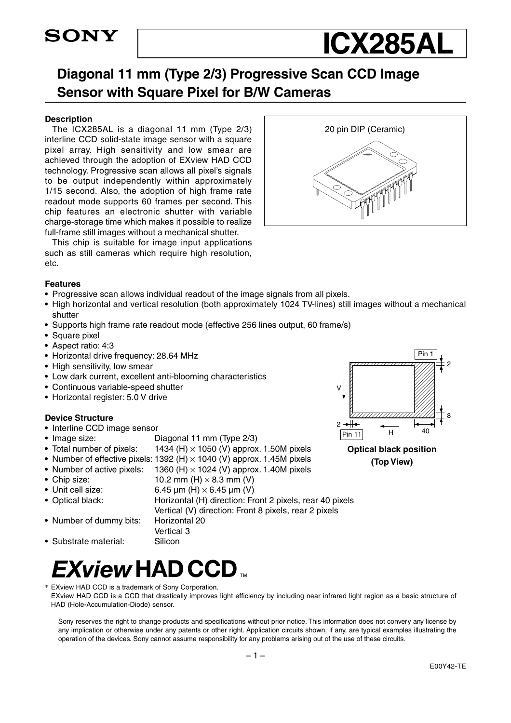## **SONY**

## **ICX285AL**

### **Diagonal 11 mm (Type 2/3) Progressive Scan CCD Image Sensor with Square Pixel for B/W Cameras**

#### **Description**

The ICX285AL is a diagonal 11 mm (Type 2/3) interline CCD solid-state image sensor with a square pixel array. High sensitivity and low smear are achieved through the adoption of EXview HAD CCD technology. Progressive scan allows all pixel's signals to be output independently within approximately 1/15 second. Also, the adoption of high frame rate readout mode supports 60 frames per second. This chip features an electronic shutter with variable charge-storage time which makes it possible to realize full-frame still images without a mechanical shutter.

This chip is suitable for image input applications such as still cameras which require high resolution, etc.

#### **Features**

- **•** Progressive scan allows individual readout of the image signals from all pixels.
- **•** High horizontal and vertical resolution (both approximately 1024 TV-lines) still images without a mechanical shutter
- **•** Supports high frame rate readout mode (effective 256 lines output, 60 frame/s)
- **•** Square pixel
- **•** Aspect ratio: 4:3
- **•** Horizontal drive frequency: 28.64 MHz
- **•** High sensitivity, low smear
- **•** Low dark current, excellent anti-blooming characteristics
- **•** Continuous variable-speed shutter
- **•** Horizontal register: 5.0 V drive

#### **Device Structure**

- **•** Interline CCD image sensor
- Image size: Diagonal 11 mm (Type 2/3)
- Total number of pixels: 1434 (H) × 1050 (V) approx. 1.50M pixels
- Number of effective pixels: 1392 (H) × 1040 (V) approx. 1.45M pixels
- Number of active pixels: 1360 (H) × 1024 (V) approx. 1.40M pixels
- **•** Chip size: 10.2 mm (H) × 8.3 mm (V)
- **•** Unit cell size: 6.45 µm (H) × 6.45 µm (V)
- Optical black: Horizontal (H) direction: Front 2 pixels, rear 40 pixels
- Vertical (V) direction: Front 8 pixels, rear 2 pixels **•** Number of dummy bits: Horizontal 20
	- Vertical 3
- Substrate material: Silicon

## *EXview* HAD CCD ™

- \* EXview HAD CCD is a trademark of Sony Corporation.
- EXview HAD CCD is a CCD that drastically improves light efficiency by including near infrared light region as a basic structure of HAD (Hole-Accumulation-Diode) sensor.

Sony reserves the right to change products and specifications without prior notice. This information does not convery any license by any implication or otherwise under any patents or other right. Application circuits shown, if any, are typical examples illustrating the operation of the devices. Sony cannot assume responsibility for any problems arising out of the use of these circuits.



20 pin DIP (Ceramic)



**Optical black position (Top View)**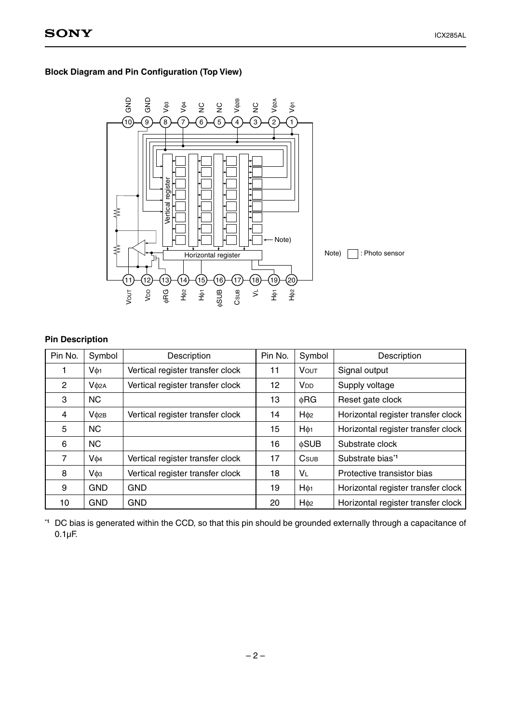#### **Block Diagram and Pin Configuration (Top View)**



#### **Pin Description**

| Pin No.        | Symbol           | Description                      | Pin No. | Symbol                  | Description                        |
|----------------|------------------|----------------------------------|---------|-------------------------|------------------------------------|
|                | Vф <sub>1</sub>  | Vertical register transfer clock | 11      | <b>VOUT</b>             | Signal output                      |
| $\overline{2}$ | V <sub>Φ2A</sub> | Vertical register transfer clock | 12      | <b>V<sub>DD</sub></b>   | Supply voltage                     |
| 3              | <b>NC</b>        |                                  | 13      | ΦRG                     | Reset gate clock                   |
| 4              | V <sub>02B</sub> | Vertical register transfer clock | 14      | $H\phi$ <sub>2</sub>    | Horizontal register transfer clock |
| 5              | <b>NC</b>        |                                  | 15      | $H\phi_1$               | Horizontal register transfer clock |
| 6              | <b>NC</b>        |                                  | 16      | <b>φSUB</b>             | Substrate clock                    |
| $\overline{7}$ | Vф4              | Vertical register transfer clock | 17      | <b>C</b> <sub>SUB</sub> | Substrate bias*1                   |
| 8              | V <sub>фз</sub>  | Vertical register transfer clock | 18      | VL                      | Protective transistor bias         |
| 9              | <b>GND</b>       | <b>GND</b>                       | 19      | $H\phi_1$               | Horizontal register transfer clock |
| 10             | <b>GND</b>       | <b>GND</b>                       | 20      | H <sub>02</sub>         | Horizontal register transfer clock |

**\*1** DC bias is generated within the CCD, so that this pin should be grounded externally through a capacitance of 0.1µF.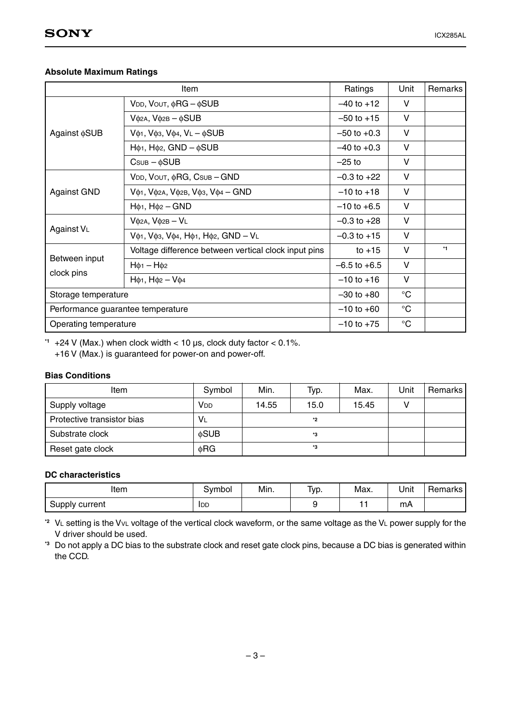#### **Absolute Maximum Ratings**

|                                   | Item                                                                 | Ratings          | Unit        | Remarks |
|-----------------------------------|----------------------------------------------------------------------|------------------|-------------|---------|
|                                   | $V$ DD, $V$ OUT, $\phi$ RG – $\phi$ SUB                              | $-40$ to $+12$   | V           |         |
|                                   | $V$ $\phi$ 2A, $V\phi$ 2B – $\phi$ SUB                               | $-50$ to $+15$   | V           |         |
| Against $\phi$ SUB                | $V_{\phi1}$ , $V_{\phi3}$ , $V_{\phi4}$ , $V_L - \phi SUB$           | $-50$ to $+0.3$  | v           |         |
|                                   | $H\phi$ <sub>1</sub> , $H\phi$ <sub>2</sub> , $GND - \phi$ SUB       | $-40$ to $+0.3$  | V           |         |
|                                   | $C$ SUB $ \phi$ SUB                                                  | $-25$ to         | V           |         |
|                                   | VDD, VOUT, $\phi$ RG, Csub - GND                                     | $-0.3$ to $+22$  | V           |         |
| <b>Against GND</b>                | $V$ ф1, $V$ ф2а, $V$ ф2в, $V$ ф3, $V$ ф4 — GND                       | $-10$ to $+18$   | V           |         |
|                                   | $H\phi_1$ , $H\phi_2$ – GND                                          | $-10$ to $+6.5$  | V           |         |
|                                   | $V$ $\phi$ 2A, $V\phi$ 2B – $V$ L                                    | $-0.3$ to $+28$  | V           |         |
| Against VL                        | V $\phi$ 1, V $\phi$ 3, V $\phi$ 4, H $\phi$ 1, H $\phi$ 2, GND - VL | $-0.3$ to $+15$  | V           |         |
|                                   | Voltage difference between vertical clock input pins                 | to $+15$         | V           | $*1$    |
| Between input                     | $H\phi_1 - H\phi_2$                                                  | $-6.5$ to $+6.5$ | V           |         |
| clock pins                        | $H\phi_1$ , $H\phi_2 - V\phi_4$                                      | $-10$ to $+16$   | V           |         |
| Storage temperature               |                                                                      | $-30$ to $+80$   | $^{\circ}C$ |         |
| Performance guarantee temperature |                                                                      | $-10$ to $+60$   | $^{\circ}C$ |         |
| Operating temperature             |                                                                      | $-10$ to $+75$   | $^{\circ}C$ |         |

**\*1** +24 V (Max.) when clock width < 10 µs, clock duty factor < 0.1%.

+16 V (Max.) is guaranteed for power-on and power-off.

#### **Bias Conditions**

| Item                       | Symbol          | Min.  | Typ. | Max.  | Unit | Remarks I |
|----------------------------|-----------------|-------|------|-------|------|-----------|
| Supply voltage             | V <sub>DD</sub> | 14.55 | 15.0 | 15.45 |      |           |
| Protective transistor bias | <b>VL</b>       |       | *2   |       |      |           |
| Substrate clock            | <b>¢SUB</b>     |       | *3   |       |      |           |
| Reset gate clock           | φRG             |       | *3   |       |      |           |

#### **DC characteristics**

| Item           | ovmbol | Min. | Typ. | Max. | Unit | Remarks |
|----------------|--------|------|------|------|------|---------|
| Supply current | IDD    |      |      |      | mA   |         |

**\*2** VL setting is the VVL voltage of the vertical clock waveform, or the same voltage as the VL power supply for the V driver should be used.

**\*3** Do not apply a DC bias to the substrate clock and reset gate clock pins, because a DC bias is generated within the CCD.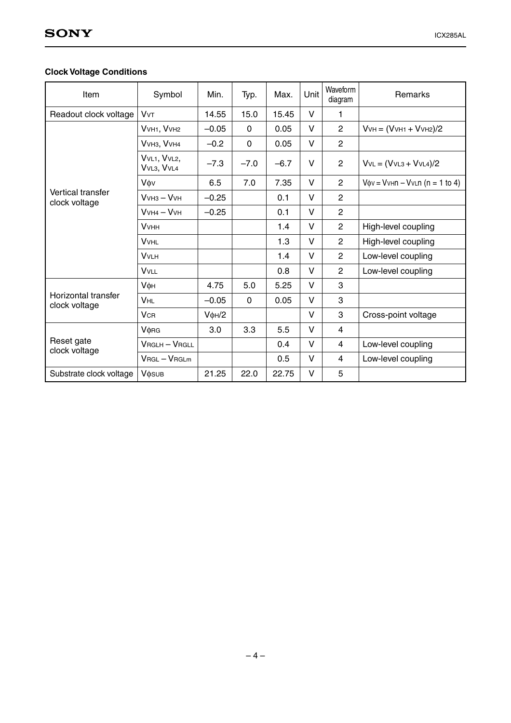#### **Clock Voltage Conditions**

| Item                                      | Symbol                         | Min.              | Typ.     | Max.   | Unit   | Waveform<br>diagram | Remarks                                                         |
|-------------------------------------------|--------------------------------|-------------------|----------|--------|--------|---------------------|-----------------------------------------------------------------|
| Readout clock voltage                     | <b>V</b> <sub>V</sub> T        | 14.55             | 15.0     | 15.45  | V      | 1                   |                                                                 |
|                                           | VVH1, VVH2                     | $-0.05$           | $\Omega$ | 0.05   | $\vee$ | 2                   | $VvH = (VvH1 + VvH2)/2$                                         |
|                                           | VVH3, VVH4                     | $-0.2$            | $\Omega$ | 0.05   | V      | $\overline{2}$      |                                                                 |
|                                           | VVL1, VVL2,<br>VVL3, VVL4      | $-7.3$            | $-7.0$   | $-6.7$ | V      | $\overline{2}$      | $VvL = (VvL3 + VvL4)/2$                                         |
|                                           | Vov                            | 6.5               | 7.0      | 7.35   | V      | $\overline{2}$      | $V$ $\phi$ v = $V$ v $\theta$ n – $V$ v $\theta$ n (n = 1 to 4) |
| <b>Vertical transfer</b><br>clock voltage | $V$ VH <sub>3</sub> – $V$ VH   | $-0.25$           |          | 0.1    | V      | $\overline{2}$      |                                                                 |
|                                           | $VVH4 - VVH$                   | $-0.25$           |          | 0.1    | V      | $\overline{2}$      |                                                                 |
|                                           | <b>V</b> <sub>VHH</sub>        |                   |          | 1.4    | $\vee$ | $\overline{2}$      | High-level coupling                                             |
|                                           | <b>VVHL</b>                    |                   |          | 1.3    | $\vee$ | $\overline{2}$      | High-level coupling                                             |
|                                           | <b>VVLH</b>                    |                   |          | 1.4    | V      | $\overline{2}$      | Low-level coupling                                              |
|                                           | <b>VVLL</b>                    |                   |          | 0.8    | $\vee$ | $\overline{2}$      | Low-level coupling                                              |
|                                           | Vфн                            | 4.75              | 5.0      | 5.25   | $\vee$ | 3                   |                                                                 |
| Horizontal transfer<br>clock voltage      | <b>VHL</b>                     | $-0.05$           | 0        | 0.05   | V      | 3                   |                                                                 |
|                                           | <b>V<sub>CR</sub></b>          | $V$ $\phi$ H $/2$ |          |        | V      | 3                   | Cross-point voltage                                             |
| Reset gate<br>clock voltage               | <b>V</b> <sub><b>ORG</b></sub> | 3.0               | 3.3      | 5.5    | $\vee$ | 4                   |                                                                 |
|                                           | <b>VRGLH-VRGLL</b>             |                   |          | 0.4    | V      | 4                   | Low-level coupling                                              |
|                                           | $V$ RGL $-V$ RGLm              |                   |          | 0.5    | $\vee$ | 4                   | Low-level coupling                                              |
| Substrate clock voltage                   | <b>V</b> osub                  | 21.25             | 22.0     | 22.75  | V      | 5                   |                                                                 |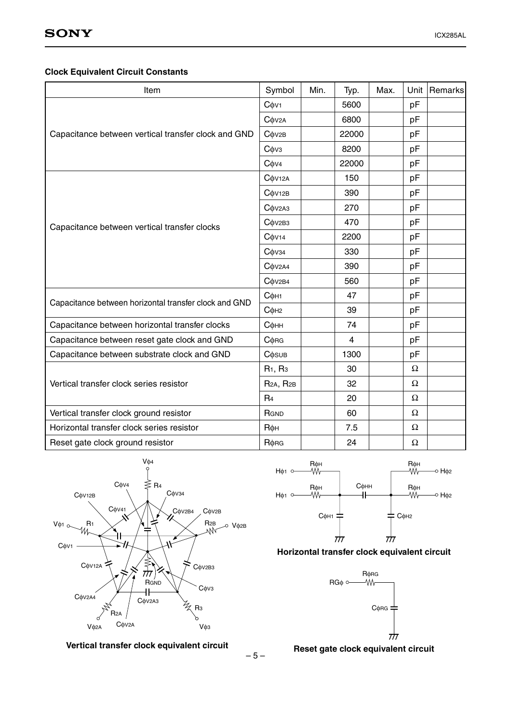#### **Clock Equivalent Circuit Constants**

| Item                                                  | Symbol                                   | Min. | Typ.  | Max. |    | Unit   Remarks |
|-------------------------------------------------------|------------------------------------------|------|-------|------|----|----------------|
|                                                       | $C$ $\phi$ V <sub>1</sub>                |      | 5600  |      | pF |                |
|                                                       | $C$ $\phi$ V <sub>2</sub> A              |      | 6800  |      | pF |                |
| Capacitance between vertical transfer clock and GND   | $C$ $\phi$ $v$ 2B                        |      | 22000 |      | pF |                |
|                                                       | Сфуз                                     |      | 8200  |      | pF |                |
|                                                       | $C$ $OVA$                                |      | 22000 |      | pF |                |
|                                                       | $C$ $\phi$ V <sub>12A</sub>              |      | 150   |      | pF |                |
|                                                       | $C$ $\phi$ V <sub>12B</sub>              |      | 390   |      | pF |                |
|                                                       | $C$ $\phi$ V <sub>2</sub> A <sub>3</sub> |      | 270   |      | pF |                |
| Capacitance between vertical transfer clocks          | $C$ $\phi$ V <sub>2B3</sub>              |      | 470   |      | pF |                |
|                                                       | $C$ $\phi$ V <sub>14</sub>               |      | 2200  |      | pF |                |
|                                                       | $C$ $\phi$ V34                           |      | 330   |      | pF |                |
|                                                       | $C$ $O$ $V$ $2A4$                        |      | 390   |      | pF |                |
|                                                       | $C$ $\phi$ V <sub>2B4</sub>              |      | 560   |      | pF |                |
|                                                       | Сфн1                                     |      | 47    |      | pF |                |
| Capacitance between horizontal transfer clock and GND | $C$ $\phi$ H <sub>2</sub>                |      | 39    |      | pF |                |
| Capacitance between horizontal transfer clocks        | Сфнн                                     |      | 74    |      | pF |                |
| Capacitance between reset gate clock and GND          | $C$ $\phi$ RG                            |      | 4     |      | pF |                |
| Capacitance between substrate clock and GND           | <b>C</b> $\phi$ <sub>SUB</sub>           |      | 1300  |      | pF |                |
|                                                       | R <sub>1</sub> , R <sub>3</sub>          |      | 30    |      | Ω  |                |
| Vertical transfer clock series resistor               | R <sub>2A</sub> , R <sub>2B</sub>        |      | 32    |      | Ω  |                |
|                                                       | R <sub>4</sub>                           |      | 20    |      | Ω  |                |
| Vertical transfer clock ground resistor               | RGND                                     |      | 60    |      | Ω  |                |
| Horizontal transfer clock series resistor             | <b>R</b> фн                              |      | 7.5   |      | Ω  |                |
| Reset gate clock ground resistor                      | $R$ $\phi$ RG                            |      | 24    |      | Ω  |                |







#### **Horizontal transfer clock equivalent circuit**



 $-5-$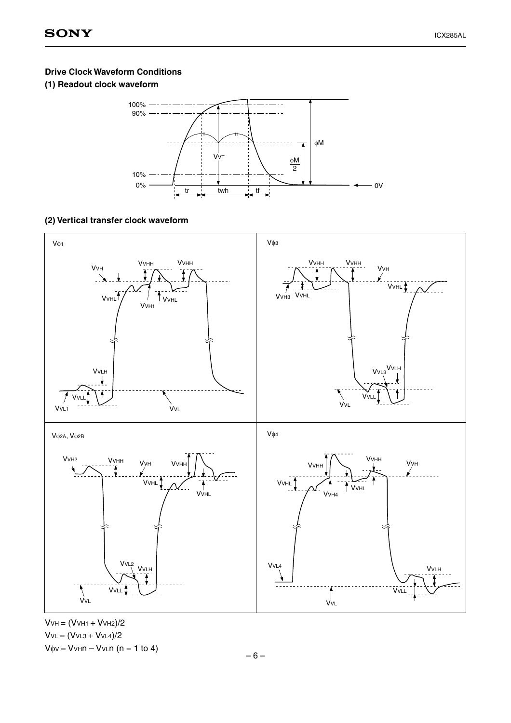#### **Drive Clock Waveform Conditions**

#### **(1) Readout clock waveform**



#### **(2) Vertical transfer clock waveform**



 $V$ VH =  $(V$ VH1 +  $V$ VH2 $)/2$  $VvL = (VvL3 + VvL4)/2$  $V$ φν = V $V$ Hn – V $V$ Ln (n = 1 to 4)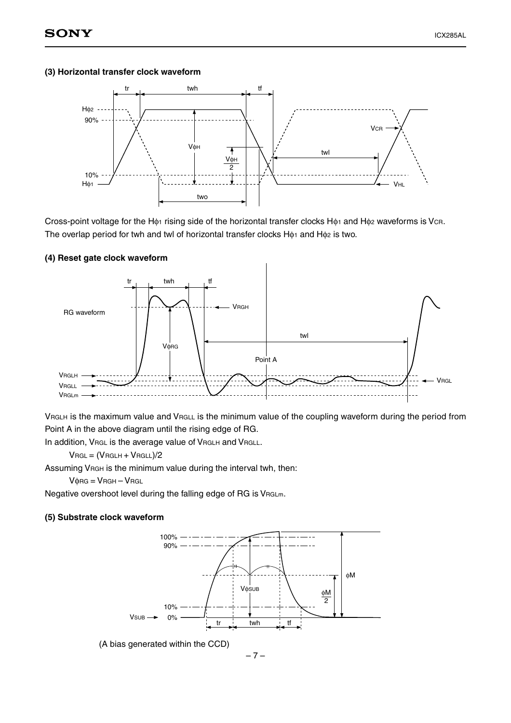#### **(3) Horizontal transfer clock waveform**



Cross-point voltage for the Hφ1 rising side of the horizontal transfer clocks Hφ1 and Hφ2 waveforms is VcR. The overlap period for twh and twl of horizontal transfer clocks  $H_{\phi1}$  and  $H_{\phi2}$  is two.

#### **(4) Reset gate clock waveform**



VRGLH is the maximum value and VRGLL is the minimum value of the coupling waveform during the period from Point A in the above diagram until the rising edge of RG.

In addition, VRGL is the average value of VRGLH and VRGLL.

 $V_{RGL} = (V_{RGLH} + V_{RGLL})/2$ 

Assuming VRGH is the minimum value during the interval twh, then:

 $V$  $\phi$ RG =  $V$ RGH –  $V$ RGL

Negative overshoot level during the falling edge of RG is VRGLm.

#### **(5) Substrate clock waveform**



(A bias generated within the CCD)

 $-7-$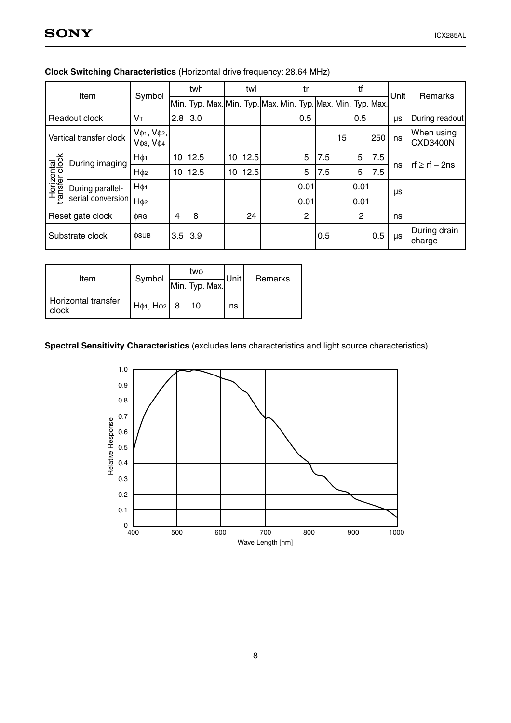| Item                         |                         | Symbol                                                                    |      | twh  |      | twl  |   | tr             |     |    | tf   |                                                        | Unit                | Remarks                       |
|------------------------------|-------------------------|---------------------------------------------------------------------------|------|------|------|------|---|----------------|-----|----|------|--------------------------------------------------------|---------------------|-------------------------------|
|                              |                         |                                                                           | Min. |      |      |      |   |                |     |    |      | Typ. Max. Min. Typ. Max. Min. Typ. Max. Min. Typ. Max. |                     |                               |
|                              | Readout clock           | Vт                                                                        | 2.8  | 3.0  |      |      |   | 0.5            |     |    | 0.5  |                                                        | μs                  | During readout                |
|                              | Vertical transfer clock | $V\phi$ <sub>1</sub> , $V\phi$ <sub>2</sub> ,<br><b>V</b> фз, <b>V</b> ф4 |      |      |      |      |   |                |     | 15 |      | 250                                                    | ns                  | When using<br><b>CXD3400N</b> |
| During imaging               | $H\phi_1$               | 10                                                                        | 12.5 | 10   | 12.5 |      | 5 | 7.5            |     | 5  | 7.5  |                                                        | rf $\ge$ rf $-$ 2ns |                               |
| Horizontal<br>transfer clock |                         | H <sub>¢2</sub>                                                           | 10   | 12.5 | 10   | 12.5 |   | 5              | 7.5 |    | 5    | 7.5                                                    | ns                  |                               |
|                              | During parallel-        | $H\phi_1$                                                                 |      |      |      |      |   | 0.01           |     |    | 0.01 |                                                        | μs                  |                               |
|                              | serial conversion       | H <sub>¢2</sub>                                                           |      |      |      |      |   | 0.01           |     |    | 0.01 |                                                        |                     |                               |
|                              | Reset gate clock        | $\Phi$ RG                                                                 | 4    | 8    |      | 24   |   | $\overline{c}$ |     |    | 2    |                                                        | ns                  |                               |
|                              | Substrate clock         | $\phi$ SUB                                                                | 3.5  | 3.9  |      |      |   |                | 0.5 |    |      | 0.5                                                    | μs                  | During drain<br>charge        |

#### **Clock Switching Characteristics** (Horizontal drive frequency: 28.64 MHz)

| Item                         | Symbol                |                | two |  | Unit | Remarks |  |
|------------------------------|-----------------------|----------------|-----|--|------|---------|--|
|                              |                       | Min. Typ. Max. |     |  |      |         |  |
| Horizontal transfer<br>clock | $H\phi_1$ , $H\phi_2$ | 8              |     |  | ns   |         |  |

#### **Spectral Sensitivity Characteristics** (excludes lens characteristics and light source characteristics)

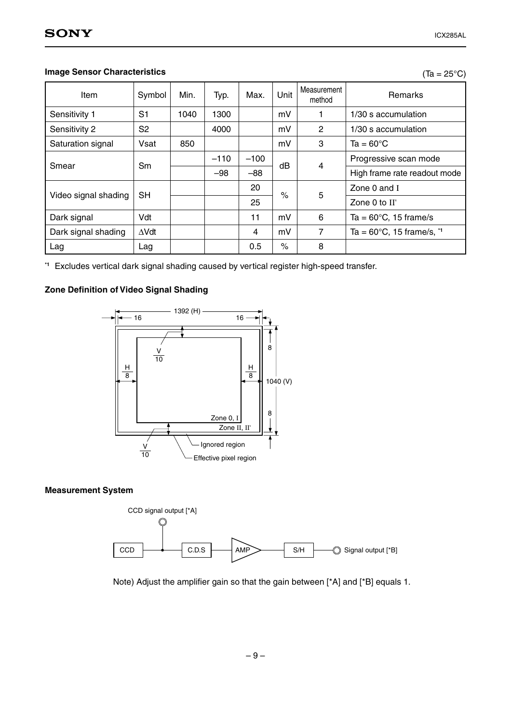$(Ta = 25^{\circ}C)$ 

#### **Image Sensor Characteristics**

| Item                 | Symbol         | Min. | Typ.   | Max.   | Unit | Measurement<br>method | <b>Remarks</b>                               |
|----------------------|----------------|------|--------|--------|------|-----------------------|----------------------------------------------|
| Sensitivity 1        | S <sub>1</sub> | 1040 | 1300   |        | mV   | 1                     | 1/30 s accumulation                          |
| Sensitivity 2        | S <sub>2</sub> |      | 4000   |        | mV   | 2                     | 1/30 s accumulation                          |
| Saturation signal    | Vsat           | 850  |        |        | mV   | 3                     | $Ta = 60^{\circ}C$                           |
| Smear                |                |      | $-110$ | $-100$ | dB   | 4                     | Progressive scan mode                        |
|                      | Sm             |      | $-98$  | $-88$  |      |                       | High frame rate readout mode                 |
|                      | <b>SH</b>      |      |        | 20     | $\%$ | 5                     | Zone 0 and I                                 |
| Video signal shading |                |      |        | 25     |      |                       | Zone 0 to II'                                |
| Dark signal          | Vdt            |      |        | 11     | mV   | 6                     | Ta = $60^{\circ}$ C, 15 frame/s              |
| Dark signal shading  | $\Delta Vdt$   |      |        | 4      | mV   | 7                     | Ta = $60^{\circ}$ C, 15 frame/s, $1^{\circ}$ |
| Lag                  | Lag            |      |        | 0.5    | $\%$ | 8                     |                                              |

**\*1** Excludes vertical dark signal shading caused by vertical register high-speed transfer.

#### **Zone Definition of Video Signal Shading**



#### **Measurement System**



Note) Adjust the amplifier gain so that the gain between [\*A] and [\*B] equals 1.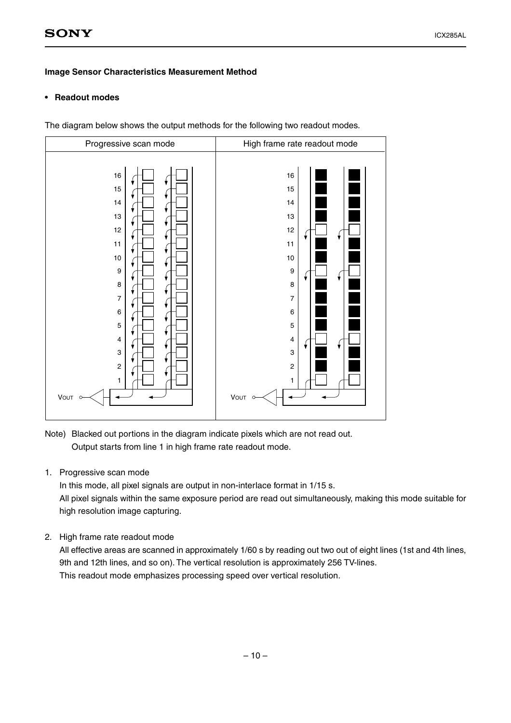#### **Image Sensor Characteristics Measurement Method**

#### **• Readout modes**

The diagram below shows the output methods for the following two readout modes.



Note) Blacked out portions in the diagram indicate pixels which are not read out. Output starts from line 1 in high frame rate readout mode.

1. Progressive scan mode

In this mode, all pixel signals are output in non-interlace format in 1/15 s. All pixel signals within the same exposure period are read out simultaneously, making this mode suitable for high resolution image capturing.

2. High frame rate readout mode

All effective areas are scanned in approximately 1/60 s by reading out two out of eight lines (1st and 4th lines, 9th and 12th lines, and so on). The vertical resolution is approximately 256 TV-lines. This readout mode emphasizes processing speed over vertical resolution.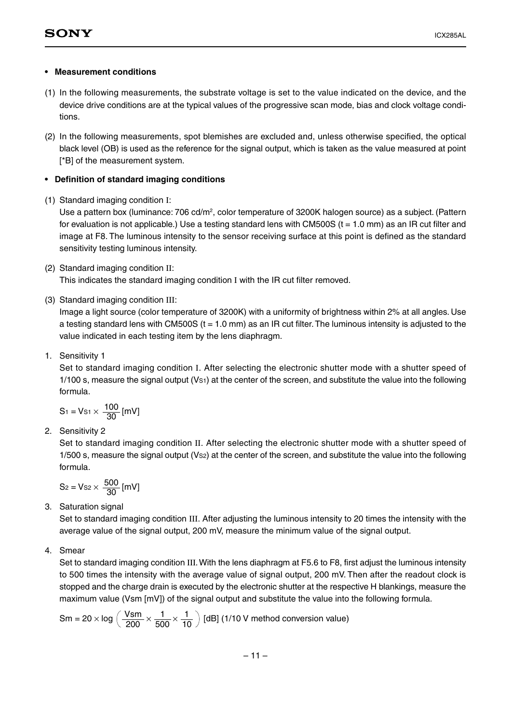#### **• Measurement conditions**

- (1) In the following measurements, the substrate voltage is set to the value indicated on the device, and the device drive conditions are at the typical values of the progressive scan mode, bias and clock voltage conditions.
- (2) In the following measurements, spot blemishes are excluded and, unless otherwise specified, the optical black level (OB) is used as the reference for the signal output, which is taken as the value measured at point [\*B] of the measurement system.

#### **• Definition of standard imaging conditions**

(1) Standard imaging condition I:

Use a pattern box (luminance: 706 cd/m<sup>2</sup>, color temperature of 3200K halogen source) as a subject. (Pattern for evaluation is not applicable.) Use a testing standard lens with CM500S ( $t = 1.0$  mm) as an IR cut filter and image at F8. The luminous intensity to the sensor receiving surface at this point is defined as the standard sensitivity testing luminous intensity.

(2) Standard imaging condition II:

This indicates the standard imaging condition I with the IR cut filter removed.

(3) Standard imaging condition III:

Image a light source (color temperature of 3200K) with a uniformity of brightness within 2% at all angles. Use a testing standard lens with CM500S ( $t = 1.0$  mm) as an IR cut filter. The luminous intensity is adjusted to the value indicated in each testing item by the lens diaphragm.

1. Sensitivity 1

Set to standard imaging condition I. After selecting the electronic shutter mode with a shutter speed of 1/100 s, measure the signal output (Vs1) at the center of the screen, and substitute the value into the following formula.

$$
S_1 = Vs_1 \times \frac{100}{30} [mV]
$$

2. Sensitivity 2

Set to standard imaging condition II. After selecting the electronic shutter mode with a shutter speed of 1/500 s, measure the signal output (Vs2) at the center of the screen, and substitute the value into the following formula.

$$
S_2 = V_{S2} \times \frac{500}{30} \, [\text{mV}]
$$

3. Saturation signal

Set to standard imaging condition III. After adjusting the luminous intensity to 20 times the intensity with the average value of the signal output, 200 mV, measure the minimum value of the signal output.

4. Smear

Set to standard imaging condition III. With the lens diaphragm at F5.6 to F8, first adjust the luminous intensity to 500 times the intensity with the average value of signal output, 200 mV. Then after the readout clock is stopped and the charge drain is executed by the electronic shutter at the respective H blankings, measure the maximum value (Vsm [mV]) of the signal output and substitute the value into the following formula.

$$
Sm = 20 \times \log \left( \frac{Vsm}{200} \times \frac{1}{500} \times \frac{1}{10} \right) [dB] (1/10 V method conversion value)
$$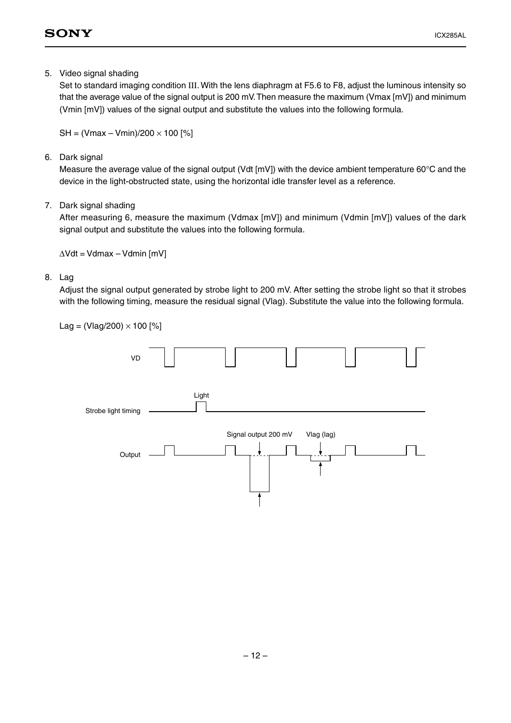5. Video signal shading

Set to standard imaging condition III. With the lens diaphragm at F5.6 to F8, adjust the luminous intensity so that the average value of the signal output is 200 mV. Then measure the maximum (Vmax [mV]) and minimum (Vmin [mV]) values of the signal output and substitute the values into the following formula.

 $SH = (Vmax - Vmin)/200 \times 100$  [%]

6. Dark signal

Measure the average value of the signal output (Vdt [mV]) with the device ambient temperature 60°C and the device in the light-obstructed state, using the horizontal idle transfer level as a reference.

7. Dark signal shading

After measuring 6, measure the maximum (Vdmax [mV]) and minimum (Vdmin [mV]) values of the dark signal output and substitute the values into the following formula.

∆Vdt = Vdmax – Vdmin [mV]

8. Lag

Adjust the signal output generated by strobe light to 200 mV. After setting the strobe light so that it strobes with the following timing, measure the residual signal (Vlag). Substitute the value into the following formula.

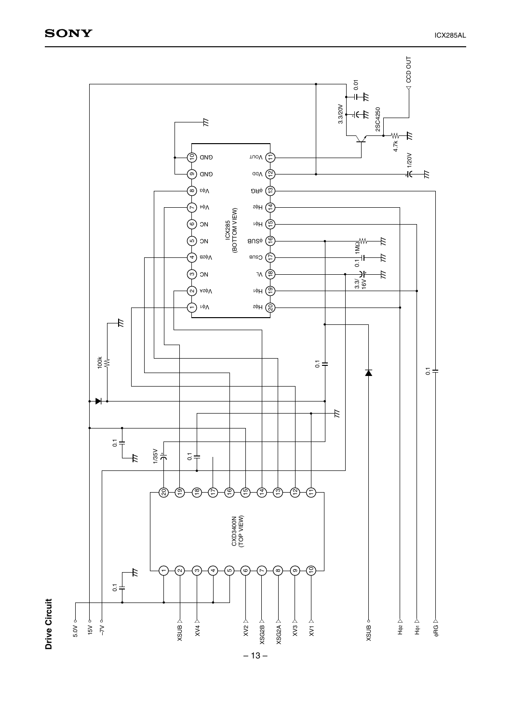**Drive Circuit**

**Drive Circuit** 

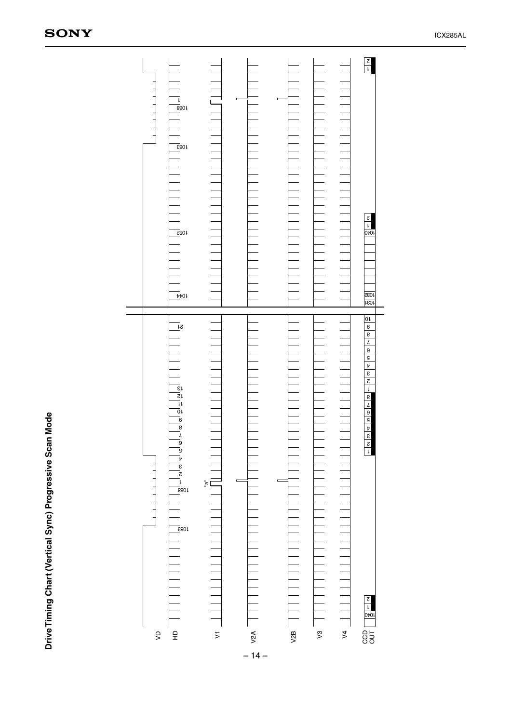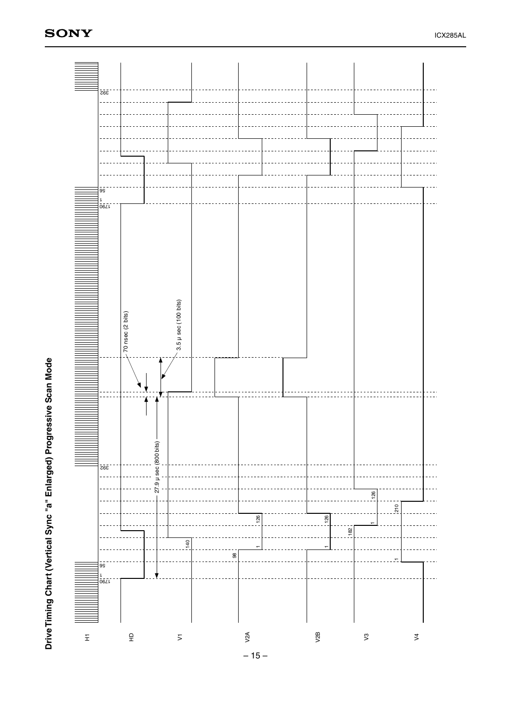

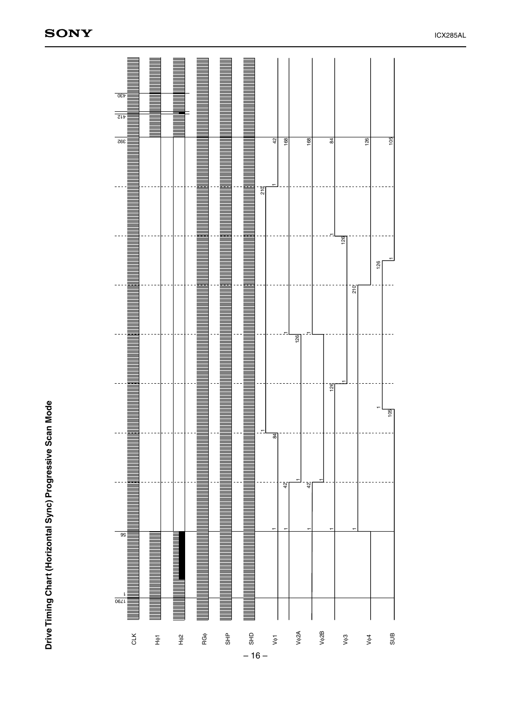

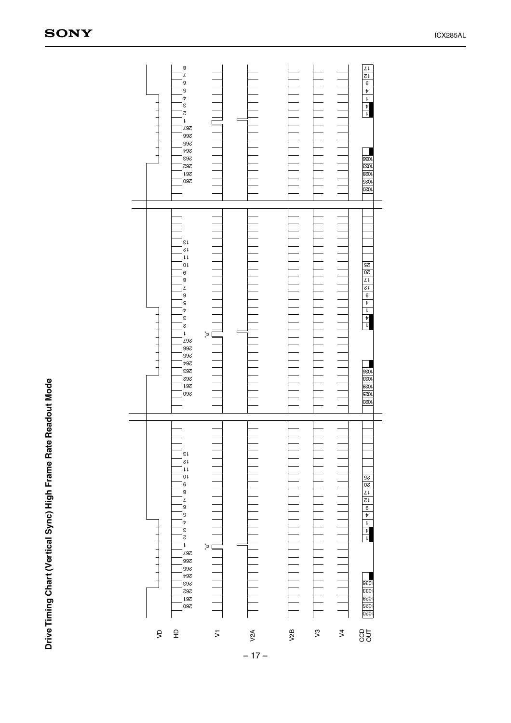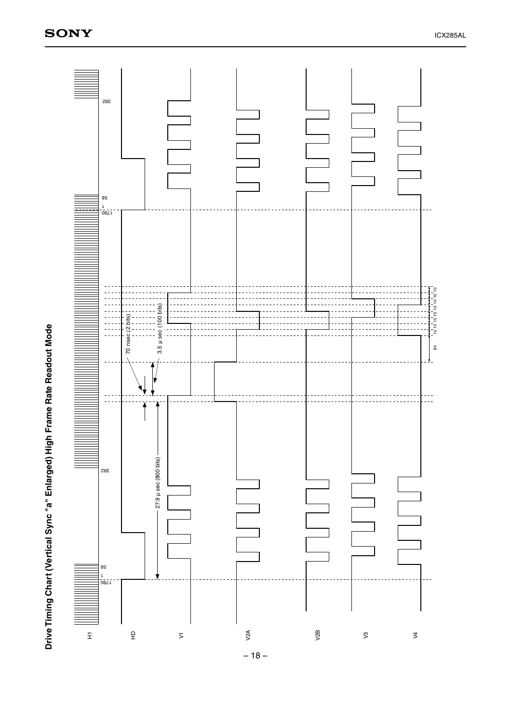

Drive Timing Chart (Vertical Sync "a" Enlarged) High Frame Rate Readout Mode **Drive Timing Chart (Vertical Sync "a" Enlarged) High Frame Rate Readout Mode**

– 18 –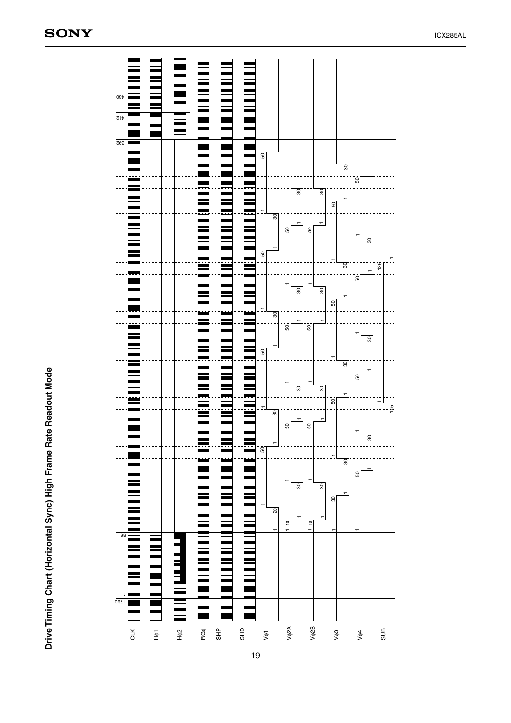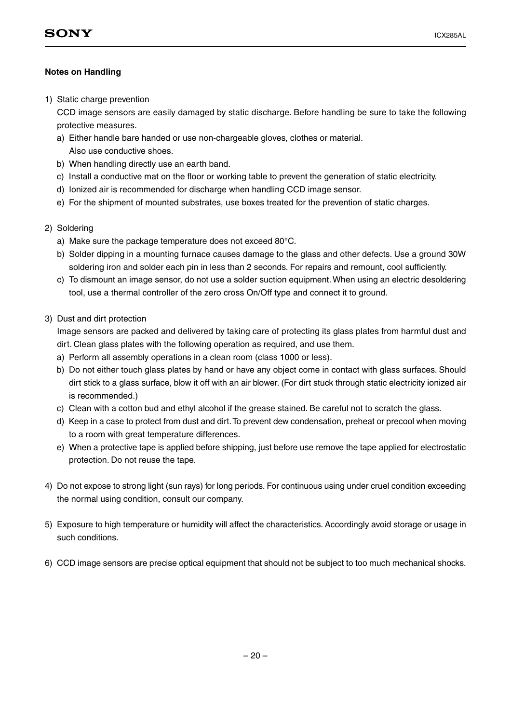#### **Notes on Handling**

1) Static charge prevention

CCD image sensors are easily damaged by static discharge. Before handling be sure to take the following protective measures.

- a) Either handle bare handed or use non-chargeable gloves, clothes or material. Also use conductive shoes.
- b) When handling directly use an earth band.
- c) Install a conductive mat on the floor or working table to prevent the generation of static electricity.
- d) Ionized air is recommended for discharge when handling CCD image sensor.
- e) For the shipment of mounted substrates, use boxes treated for the prevention of static charges.
- 2) Soldering
	- a) Make sure the package temperature does not exceed 80°C.
	- b) Solder dipping in a mounting furnace causes damage to the glass and other defects. Use a ground 30W soldering iron and solder each pin in less than 2 seconds. For repairs and remount, cool sufficiently.
	- c) To dismount an image sensor, do not use a solder suction equipment. When using an electric desoldering tool, use a thermal controller of the zero cross On/Off type and connect it to ground.
- 3) Dust and dirt protection

Image sensors are packed and delivered by taking care of protecting its glass plates from harmful dust and dirt. Clean glass plates with the following operation as required, and use them.

- a) Perform all assembly operations in a clean room (class 1000 or less).
- b) Do not either touch glass plates by hand or have any object come in contact with glass surfaces. Should dirt stick to a glass surface, blow it off with an air blower. (For dirt stuck through static electricity ionized air is recommended.)
- c) Clean with a cotton bud and ethyl alcohol if the grease stained. Be careful not to scratch the glass.
- d) Keep in a case to protect from dust and dirt. To prevent dew condensation, preheat or precool when moving to a room with great temperature differences.
- e) When a protective tape is applied before shipping, just before use remove the tape applied for electrostatic protection. Do not reuse the tape.
- 4) Do not expose to strong light (sun rays) for long periods. For continuous using under cruel condition exceeding the normal using condition, consult our company.
- 5) Exposure to high temperature or humidity will affect the characteristics. Accordingly avoid storage or usage in such conditions.
- 6) CCD image sensors are precise optical equipment that should not be subject to too much mechanical shocks.